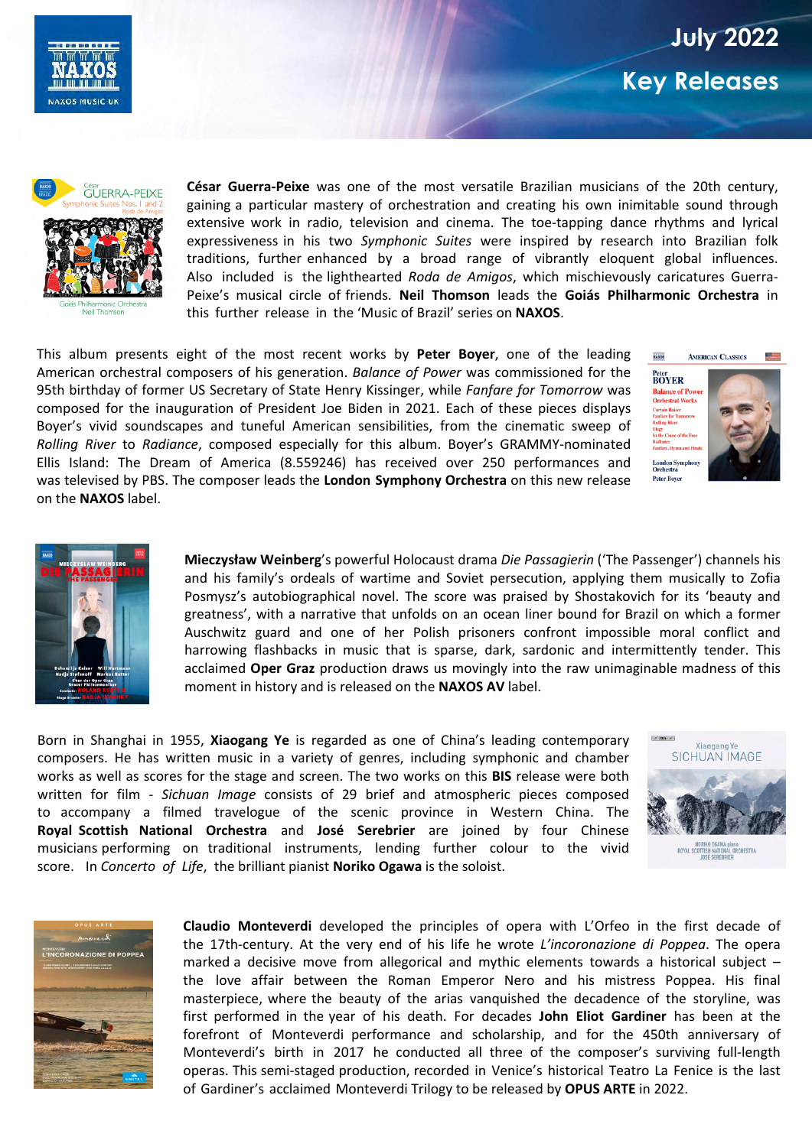

## **July 2022 Key Releases**



**César Guerra-Peixe** was one of the most versatile Brazilian musicians of the 20th century, gaining a particular mastery of orchestration and creating his own inimitable sound through extensive work in radio, television and cinema. The toe-tapping dance rhythms and lyrical expressiveness in his two *Symphonic Suites* were inspired by research into Brazilian folk traditions, further enhanced by a broad range of vibrantly eloquent global influences. Also included is the lighthearted *Roda de Amigos*, which mischievously caricatures Guerra-Peixe's musical circle of friends. **Neil Thomson** leads the **Goiás Philharmonic Orchestra** in this further release in the 'Music of Brazil' series on **NAXOS**.

This album presents eight of the most recent works by **Peter Boyer**, one of the leading American orchestral composers of his generation. *Balance of Power* was commissioned for the 95th birthday of former US Secretary of State Henry Kissinger, while *Fanfare for Tomorrow* was composed for the inauguration of President Joe Biden in 2021. Each of these pieces displays Boyer's vivid soundscapes and tuneful American sensibilities, from the cinematic sweep of *Rolling River* to *Radiance*, composed especially for this album. Boyer's GRAMMY-nominated Ellis Island: The Dream of America (8.559246) has received over 250 performances and was televised by PBS. The composer leads the **London Symphony Orchestra** on this new release on the **NAXOS** label.





**Mieczysław Weinberg**'s powerful Holocaust drama *Die Passagierin* ('The Passenger') channels his and his family's ordeals of wartime and Soviet persecution, applying them musically to Zofia Posmysz's autobiographical novel. The score was praised by Shostakovich for its 'beauty and greatness', with a narrative that unfolds on an ocean liner bound for Brazil on which a former Auschwitz guard and one of her Polish prisoners confront impossible moral conflict and harrowing flashbacks in music that is sparse, dark, sardonic and intermittently tender. This acclaimed **Oper Graz** production draws us movingly into the raw unimaginable madness of this moment in history and is released on the **NAXOS AV** label.

Born in Shanghai in 1955, **Xiaogang Ye** is regarded as one of China's leading contemporary composers. He has written music in a variety of genres, including symphonic and chamber works as well as scores for the stage and screen. The two works on this **BIS** release were both written for film - *Sichuan Image* consists of 29 brief and atmospheric pieces composed to accompany a filmed travelogue of the scenic province in Western China. The **Royal Scottish National Orchestra** and **José Serebrier** are joined by four Chinese musicians performing on traditional instruments, lending further colour to the vivid score. In *Concerto of Life*, the brilliant pianist **Noriko Ogawa** is the soloist.





**Claudio Monteverdi** developed the principles of opera with L'Orfeo in the first decade of the 17th-century. At the very end of his life he wrote *L'incoronazione di Poppea*. The opera marked a decisive move from allegorical and mythic elements towards a historical subject – the love affair between the Roman Emperor Nero and his mistress Poppea. His final masterpiece, where the beauty of the arias vanquished the decadence of the storyline, was first performed in the year of his death. For decades **John Eliot Gardiner** has been at the forefront of Monteverdi performance and scholarship, and for the 450th anniversary of Monteverdi's birth in 2017 he conducted all three of the composer's surviving full-length operas. This semi-staged production, recorded in Venice's historical Teatro La Fenice is the last of Gardiner's acclaimed Monteverdi Trilogy to be released by **OPUS ARTE** in 2022.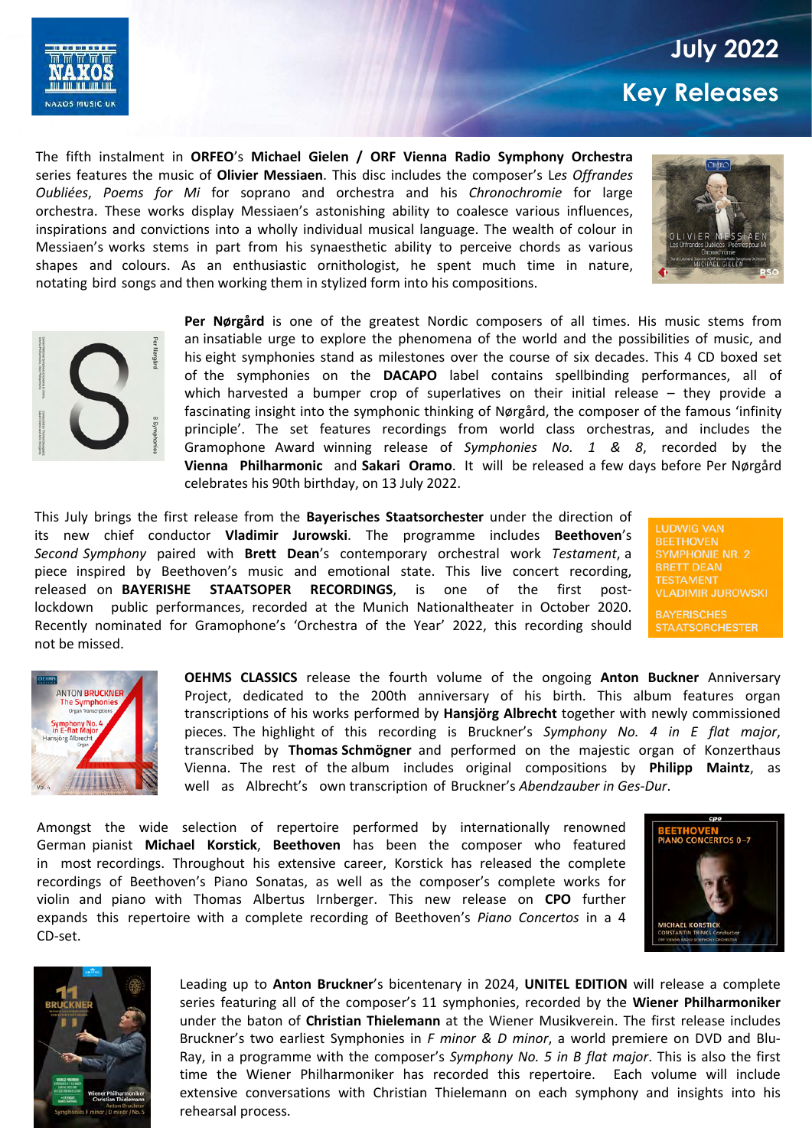

## **July 2022 Key Releases**

The fifth instalment in **ORFEO**'s **Michael Gielen / ORF Vienna Radio Symphony Orchestra** series features the music of **Olivier Messiaen**. This disc includes the composer's L*es Offrandes Oubliées*, *Poems for Mi* for soprano and orchestra and his *Chronochromie* for large orchestra. These works display Messiaen's astonishing ability to coalesce various influences, inspirations and convictions into a wholly individual musical language. The wealth of colour in Messiaen's works stems in part from his synaesthetic ability to perceive chords as various shapes and colours. As an enthusiastic ornithologist, he spent much time in nature, notating bird songs and then working them in stylized form into his compositions.





**Per Nørgård** is one of the greatest Nordic composers of all times. His music stems from an insatiable urge to explore the phenomena of the world and the possibilities of music, and his eight symphonies stand as milestones over the course of six decades. This 4 CD boxed set of the symphonies on the **DACAPO** label contains spellbinding performances, all of which harvested a bumper crop of superlatives on their initial release – they provide a fascinating insight into the symphonic thinking of Nørgård, the composer of the famous 'infinity principle'. The set features recordings from world class orchestras, and includes the Gramophone Award winning release of *Symphonies No. 1 & 8*, recorded by the **Vienna Philharmonic** and **Sakari Oramo**. It will be released a few days before Per Nørgård celebrates his 90th birthday, on 13 July 2022.

This July brings the first release from the **Bayerisches Staatsorchester** under the direction of its new chief conductor **Vladimir Jurowski**. The programme includes **Beethoven**'s *Second Symphony* paired with **Brett Dean**'s contemporary orchestral work *Testament*, a piece inspired by Beethoven's music and emotional state. This live concert recording, released on **BAYERISHE STAATSOPER RECORDINGS**, is one of the first postlockdown public performances, recorded at the Munich Nationaltheater in October 2020. Recently nominated for Gramophone's 'Orchestra of the Year' 2022, this recording should not be missed.

**LUDWIG VAN BEETHOVEN SYMPHONIE NR. 2 BRETT DEAN TESTAMENT VLADIMIR JUROWSKI** 

**BAYERISCHES STAATSORCHESTER** 



**OEHMS CLASSICS** release the fourth volume of the ongoing **Anton Buckner** Anniversary Project, dedicated to the 200th anniversary of his birth. This album features organ transcriptions of his works performed by **Hansjörg Albrecht** together with newly commissioned pieces. The highlight of this recording is Bruckner's *Symphony No. 4 in E flat major*, transcribed by **Thomas Schmögner** and performed on the majestic organ of Konzerthaus Vienna. The rest of the album includes original compositions by **Philipp Maintz**, as well as Albrecht's own transcription of Bruckner's *Abendzauber in Ges-Dur*.

Amongst the wide selection of repertoire performed by internationally renowned German pianist **Michael Korstick**, **Beethoven** has been the composer who featured in most recordings. Throughout his extensive career, Korstick has released the complete recordings of Beethoven's Piano Sonatas, as well as the composer's complete works for violin and piano with Thomas Albertus Irnberger. This new release on **CPO** further expands this repertoire with a complete recording of Beethoven's *Piano Concertos* in a 4 CD-set.





Leading up to **Anton Bruckner**'s bicentenary in 2024, **UNITEL EDITION** will release a complete series featuring all of the composer's 11 symphonies, recorded by the **Wiener Philharmoniker** under the baton of **Christian Thielemann** at the Wiener Musikverein. The first release includes Bruckner's two earliest Symphonies in *F minor & D minor*, a world premiere on DVD and Blu-Ray, in a programme with the composer's *Symphony No. 5 in B flat major*. This is also the first time the Wiener Philharmoniker has recorded this repertoire. Each volume will include extensive conversations with Christian Thielemann on each symphony and insights into his rehearsal process.